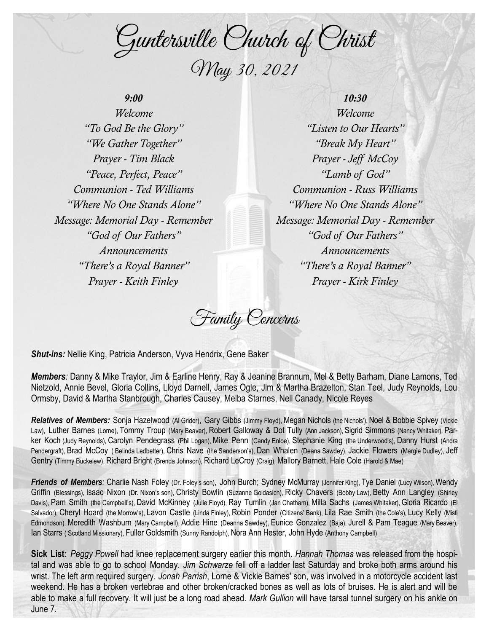Guntersville Church of Christ May 30, 2021

## *9:00*

*Welcome "To God Be the Glory" "We Gather Together" Prayer - Tim Black "Peace, Perfect, Peace" Communion - Ted Williams "Where No One Stands Alone" Message: Memorial Day - Remember "God of Our Fathers" Announcements "There's a Royal Banner" Prayer - Keith Finley*

*10:30 Welcome "Listen to Our Hearts" "Break My Heart" Prayer - Jeff McCoy "Lamb of God" Communion - Russ Williams "Where No One Stands Alone" Message: Memorial Day - Remember "God of Our Fathers" Announcements "There's a Royal Banner" Prayer - Kirk Finley*

Family Concerns

*Shut-ins:* Nellie King, Patricia Anderson, Vyva Hendrix, Gene Baker

*Members:* Danny & Mike Traylor, Jim & Earline Henry, Ray & Jeanine Brannum, Mel & Betty Barham, Diane Lamons, Ted Nietzold, Annie Bevel, Gloria Collins, Lloyd Darnell, James Ogle, Jim & Martha Brazelton, Stan Teel, Judy Reynolds, Lou Ormsby, David & Martha Stanbrough, Charles Causey, Melba Starnes, Nell Canady, Nicole Reyes

Relatives of Members: Sonja Hazelwood (Al Grider), Gary Gibbs (Jimmy Floyd), Megan Nichols (the Nichols'), Noel & Bobbie Spivey (Vickie Law), Luther Barnes (Lorne), Tommy Troup (Mary Beaver), Robert Galloway & Dot Tully (Ann Jackson), Sigrid Simmons (Nancy Whitaker), Parker Koch (Judy Reynolds), Carolyn Pendegrass (Phil Logan), Mike Penn (Candy Enloe), Stephanie King (the Underwood's), Danny Hurst (Andra Pendergraft), Brad McCoy ( Belinda Ledbetter), Chris Nave (the Sanderson's), Dan Whalen (Deana Sawdey), Jackie Flowers (Margie Dudley), Jeff Gentry (Timmy Buckelew), Richard Bright (Brenda Johnson), Richard LeCroy (Craig), Mallory Barnett, Hale Cole (Harold & Mae)

Friends of Members: Charlie Nash Foley (Dr. Foley's son), John Burch; Sydney McMurray (Jennifer King), Tye Daniel (Lucy Wilson), Wendy Griffin (Blessings), Isaac Nixon (Dr. Nixon's son), Christy Bowlin (Suzanne Goldasich), Ricky Chavers (Bobby Law), Betty Ann Langley (Shirley Davis), Pam Smith (the Campbell's), David McKinney (Julie Floyd), Ray Tumlin (Jan Chatham), Milla Sachs (James Whitaker), Gloria Ricardo (El Salvador), Cheryl Hoard (the Morrow's), Lavon Castle (Linda Finley), Robin Ponder (Citizens' Bank), Lila Rae Smith (the Cole's), Lucy Kelly (Misti Edmondson), Meredith Washburn (Mary Campbell), Addie Hine (Deanna Sawdey), Eunice Gonzalez (Baja), Jurell & Pam Teague (Mary Beaver), Ian Starrs ( Scotland Missionary), Fuller Goldsmith (Sunny Randolph), Nora Ann Hester, John Hyde (Anthony Campbell)

**Sick List:** *Peggy Powell* had knee replacement surgery earlier this month. *Hannah Thomas* was released from the hospital and was able to go to school Monday. *Jim Schwarze* fell off a ladder last Saturday and broke both arms around his wrist. The left arm required surgery. *Jonah Parrish*, Lorne & Vickie Barnes' son, was involved in a motorcycle accident last weekend. He has a broken vertebrae and other broken/cracked bones as well as lots of bruises. He is alert and will be able to make a full recovery. It will just be a long road ahead. *Mark Gullion* will have tarsal tunnel surgery on his ankle on June 7.